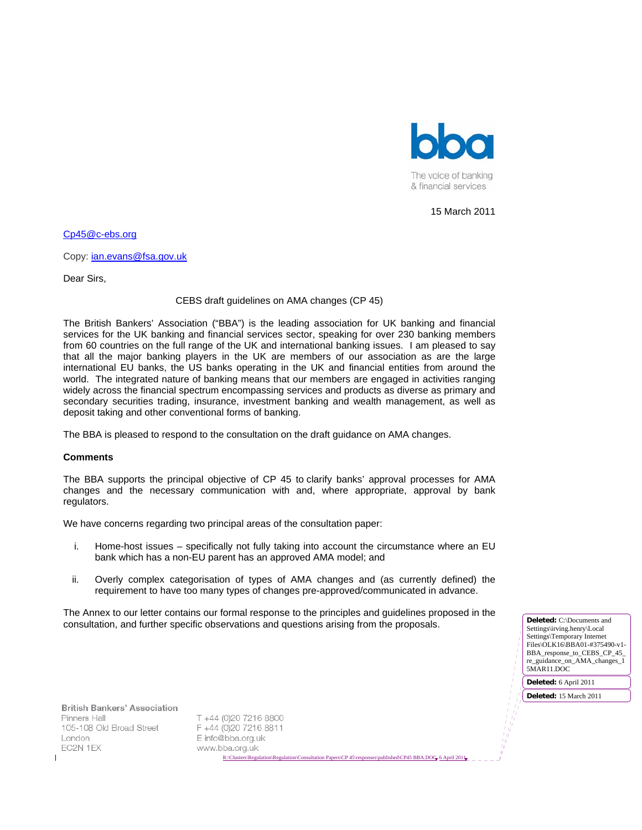

15 March 2011

Cp45@c-ebs.org

Copy: ian.evans@fsa.gov.uk

Dear Sirs,

### CEBS draft guidelines on AMA changes (CP 45)

The British Bankers' Association ("BBA") is the leading association for UK banking and financial services for the UK banking and financial services sector, speaking for over 230 banking members from 60 countries on the full range of the UK and international banking issues. I am pleased to say that all the major banking players in the UK are members of our association as are the large international EU banks, the US banks operating in the UK and financial entities from around the world. The integrated nature of banking means that our members are engaged in activities ranging widely across the financial spectrum encompassing services and products as diverse as primary and secondary securities trading, insurance, investment banking and wealth management, as well as deposit taking and other conventional forms of banking.

The BBA is pleased to respond to the consultation on the draft guidance on AMA changes.

#### **Comments**

The BBA supports the principal objective of CP 45 to clarify banks' approval processes for AMA changes and the necessary communication with and, where appropriate, approval by bank regulators.

We have concerns regarding two principal areas of the consultation paper:

- i. Home-host issues specifically not fully taking into account the circumstance where an EU bank which has a non-EU parent has an approved AMA model; and
- ii. Overly complex categorisation of types of AMA changes and (as currently defined) the requirement to have too many types of changes pre-approved/communicated in advance.

The Annex to our letter contains our formal response to the principles and guidelines proposed in the consultation, and further specific observations and questions arising from the proposals. **Deleted:** C:\Documents and

Settings\irving.henry\Local Settings\Temporary Internet Files\OLK16\BBA01-#375490-v1-BBA\_response\_to\_CEBS\_CP\_45\_ re\_guidance\_on\_AMA\_changes\_1 5MAR11.DOC

**Deleted:** 6 April 2011

**Deleted:** 15 March 2011

**British Bankers' Association** Pinners Hall 105-108 Old Broad Street London EC2N 1EX

T +44 (0)20 7216 8800 F +44 (0)20 7216 8811 E info@bba.org.uk www.bba.org.uk R:\Clusters\Regulation\Regulation\Consultation Papers\CP 45\responses\published\CP45 BBA.DOC 6 April 2011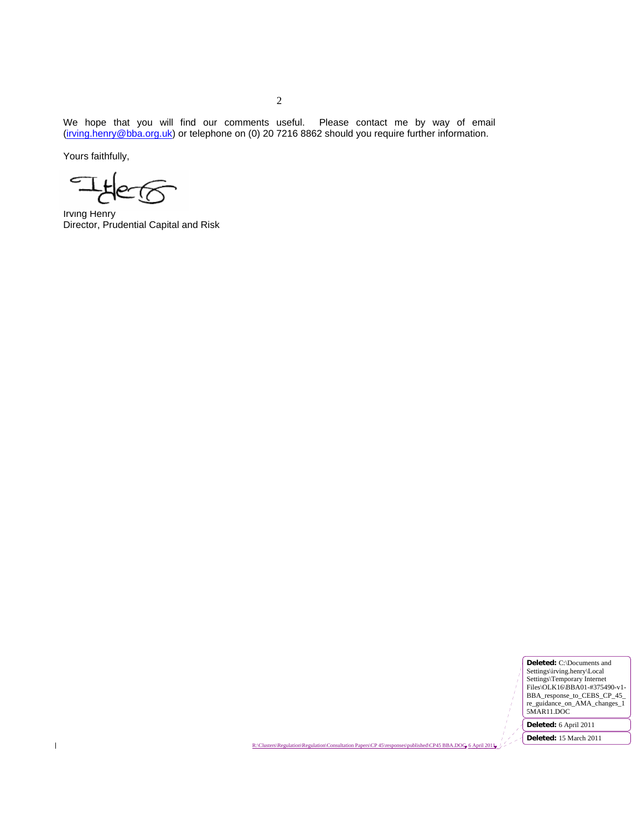We hope that you will find our comments useful. Please contact me by way of email (irving.henry@bba.org.uk) or telephone on (0) 20 7216 8862 should you require further information.

Yours faithfully,

 $\begin{array}{c} \rule{0pt}{2.5ex} \rule{0pt}{2.5ex} \rule{0pt}{2.5ex} \rule{0pt}{2.5ex} \rule{0pt}{2.5ex} \rule{0pt}{2.5ex} \rule{0pt}{2.5ex} \rule{0pt}{2.5ex} \rule{0pt}{2.5ex} \rule{0pt}{2.5ex} \rule{0pt}{2.5ex} \rule{0pt}{2.5ex} \rule{0pt}{2.5ex} \rule{0pt}{2.5ex} \rule{0pt}{2.5ex} \rule{0pt}{2.5ex} \rule{0pt}{2.5ex} \rule{0pt}{2.5ex} \rule{0pt}{2.5ex} \rule{0$ 

Irving Henry Director, Prudential Capital and Risk

**Deleted:** C:\Documents and Settings\irving.henry\Local<br>Settings\Temporary Internet<br>Files\OLK16\BBA01-#375490-v1-<br>BBA\_response\_to\_CEBS\_CP\_45\_<br>re\_guidance\_on\_AMA\_changes\_1<br>5MAR11.DOC **Deleted:** 6 April 2011

**Deleted:** 15 March 2011

R:\Clusters\Regulation\Regulation\Consultation Papers\CP 45\responses\published\CP45 BBA.DOG 6 April 2011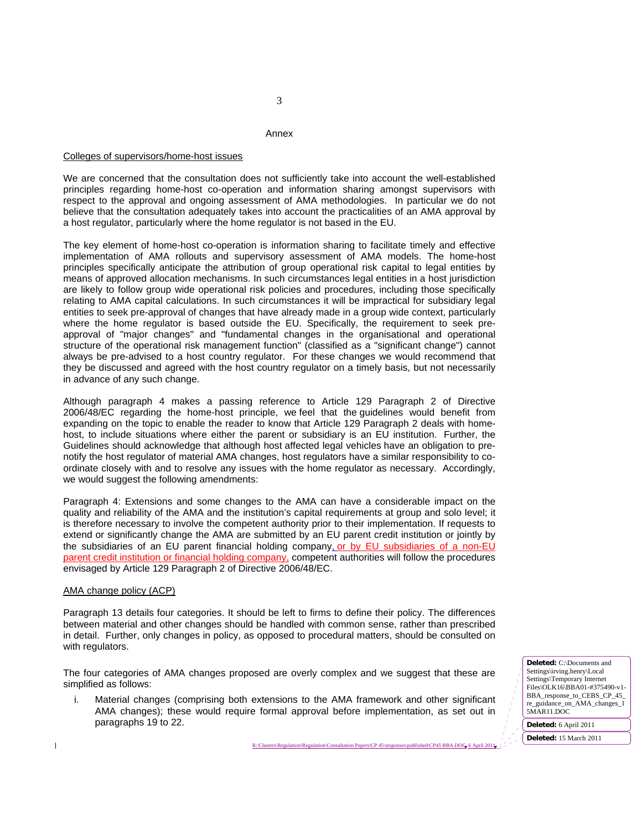#### Annex

## Colleges of supervisors/home-host issues

We are concerned that the consultation does not sufficiently take into account the well-established principles regarding home-host co-operation and information sharing amongst supervisors with respect to the approval and ongoing assessment of AMA methodologies. In particular we do not believe that the consultation adequately takes into account the practicalities of an AMA approval by a host regulator, particularly where the home regulator is not based in the EU.

The key element of home-host co-operation is information sharing to facilitate timely and effective implementation of AMA rollouts and supervisory assessment of AMA models. The home-host principles specifically anticipate the attribution of group operational risk capital to legal entities by means of approved allocation mechanisms. In such circumstances legal entities in a host jurisdiction are likely to follow group wide operational risk policies and procedures, including those specifically relating to AMA capital calculations. In such circumstances it will be impractical for subsidiary legal entities to seek pre-approval of changes that have already made in a group wide context, particularly where the home regulator is based outside the EU. Specifically, the requirement to seek preapproval of "major changes" and "fundamental changes in the organisational and operational structure of the operational risk management function" (classified as a "significant change") cannot always be pre-advised to a host country regulator. For these changes we would recommend that they be discussed and agreed with the host country regulator on a timely basis, but not necessarily in advance of any such change.

Although paragraph 4 makes a passing reference to Article 129 Paragraph 2 of Directive 2006/48/EC regarding the home-host principle, we feel that the guidelines would benefit from expanding on the topic to enable the reader to know that Article 129 Paragraph 2 deals with homehost, to include situations where either the parent or subsidiary is an EU institution. Further, the Guidelines should acknowledge that although host affected legal vehicles have an obligation to prenotify the host regulator of material AMA changes, host regulators have a similar responsibility to coordinate closely with and to resolve any issues with the home regulator as necessary. Accordingly, we would suggest the following amendments:

Paragraph 4: Extensions and some changes to the AMA can have a considerable impact on the quality and reliability of the AMA and the institution's capital requirements at group and solo level; it is therefore necessary to involve the competent authority prior to their implementation. If requests to extend or significantly change the AMA are submitted by an EU parent credit institution or jointly by the subsidiaries of an EU parent financial holding company, or by EU subsidiaries of a non-EU parent credit institution or financial holding company, competent authorities will follow the procedures envisaged by Article 129 Paragraph 2 of Directive 2006/48/EC.

# AMA change policy (ACP)

 $\mathbf I$ 

Paragraph 13 details four categories. It should be left to firms to define their policy. The differences between material and other changes should be handled with common sense, rather than prescribed in detail. Further, only changes in policy, as opposed to procedural matters, should be consulted on with regulators.

The four categories of AMA changes proposed are overly complex and we suggest that these are simplified as follows:

i. Material changes (comprising both extensions to the AMA framework and other significant AMA changes); these would require formal approval before implementation, as set out in paragraphs 19 to 22.

**Deleted:** C:\Documents and Settings\irving.henry\Local Settings\Temporary Internet Files\OLK16\BBA01-#375490-v1- BBA\_response\_to\_CEBS\_CP\_45\_ re\_guidance\_on\_AMA\_changes\_1 5MAR11.DOC

**Deleted:** 6 April 2011

R:\Clusters\Regulation\Regulation\Consultation Papers\CP 45\responses\published\CP45 BBA.DOC 6 April 2011 **Deleted:** 15 March 2011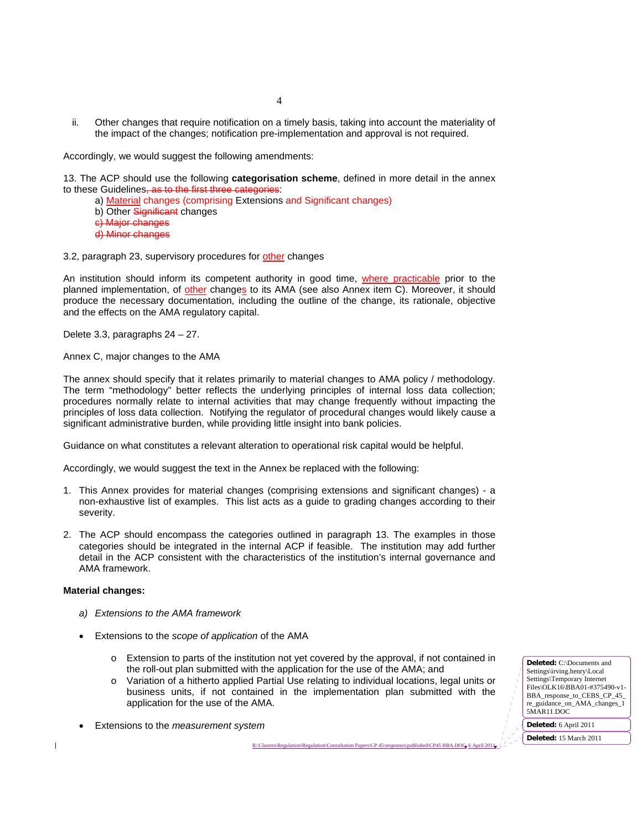ii. Other changes that require notification on a timely basis, taking into account the materiality of the impact of the changes; notification pre-implementation and approval is not required.

Accordingly, we would suggest the following amendments:

13. The ACP should use the following **categorisation scheme**, defined in more detail in the annex to these Guidelines, as to the first the

- a) Material changes (comprising Extensions and Significant changes)
- b) Other Significant changes
- c) Major changes
- d) Minor changes

3.2, paragraph 23, supervisory procedures for other changes

An institution should inform its competent authority in good time, where practicable prior to the planned implementation, of other changes to its AMA (see also Annex item C). Moreover, it should produce the necessary documentation, including the outline of the change, its rationale, objective and the effects on the AMA regulatory capital.

Delete 3.3, paragraphs 24 – 27.

Annex C, major changes to the AMA

The annex should specify that it relates primarily to material changes to AMA policy / methodology. The term "methodology" better reflects the underlying principles of internal loss data collection; procedures normally relate to internal activities that may change frequently without impacting the principles of loss data collection. Notifying the regulator of procedural changes would likely cause a significant administrative burden, while providing little insight into bank policies.

Guidance on what constitutes a relevant alteration to operational risk capital would be helpful.

Accordingly, we would suggest the text in the Annex be replaced with the following:

- 1. This Annex provides for material changes (comprising extensions and significant changes) a non-exhaustive list of examples. This list acts as a guide to grading changes according to their severity.
- 2. The ACP should encompass the categories outlined in paragraph 13. The examples in those categories should be integrated in the internal ACP if feasible. The institution may add further detail in the ACP consistent with the characteristics of the institution's internal governance and AMA framework.

# **Material changes:**

 $\mathbf I$ 

- *a) Extensions to the AMA framework*
- Extensions to the *scope of application* of the AMA
	- o Extension to parts of the institution not yet covered by the approval, if not contained in the roll-out plan submitted with the application for the use of the AMA; and
	- o Variation of a hitherto applied Partial Use relating to individual locations, legal units or business units, if not contained in the implementation plan submitted with the application for the use of the AMA.

R:\Clusters\Regulation\Regulation\Consultation Papers\CP45

• Extensions to the *measurement system* 

**Deleted:** 15 March 2011